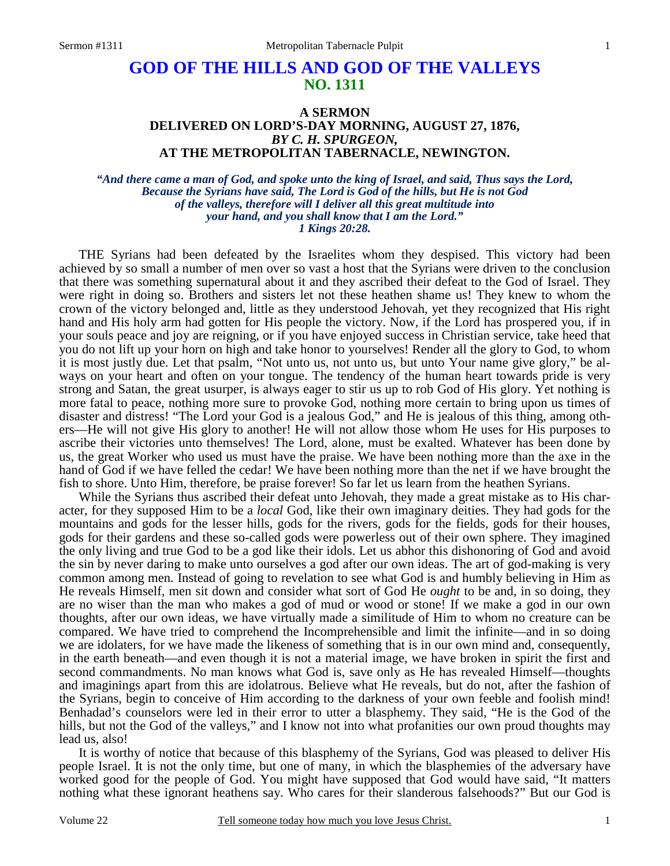# **GOD OF THE HILLS AND GOD OF THE VALLEYS NO. 1311**

## **A SERMON DELIVERED ON LORD'S-DAY MORNING, AUGUST 27, 1876,**  *BY C. H. SPURGEON,*  **AT THE METROPOLITAN TABERNACLE, NEWINGTON.**

*"And there came a man of God, and spoke unto the king of Israel, and said, Thus says the Lord, Because the Syrians have said, The Lord is God of the hills, but He is not God of the valleys, therefore will I deliver all this great multitude into your hand, and you shall know that I am the Lord." 1 Kings 20:28.* 

THE Syrians had been defeated by the Israelites whom they despised. This victory had been achieved by so small a number of men over so vast a host that the Syrians were driven to the conclusion that there was something supernatural about it and they ascribed their defeat to the God of Israel. They were right in doing so. Brothers and sisters let not these heathen shame us! They knew to whom the crown of the victory belonged and, little as they understood Jehovah, yet they recognized that His right hand and His holy arm had gotten for His people the victory. Now, if the Lord has prospered you, if in your souls peace and joy are reigning, or if you have enjoyed success in Christian service, take heed that you do not lift up your horn on high and take honor to yourselves! Render all the glory to God, to whom it is most justly due. Let that psalm, "Not unto us, not unto us, but unto Your name give glory," be always on your heart and often on your tongue. The tendency of the human heart towards pride is very strong and Satan, the great usurper, is always eager to stir us up to rob God of His glory. Yet nothing is more fatal to peace, nothing more sure to provoke God, nothing more certain to bring upon us times of disaster and distress! "The Lord your God is a jealous God," and He is jealous of this thing, among others—He will not give His glory to another! He will not allow those whom He uses for His purposes to ascribe their victories unto themselves! The Lord, alone, must be exalted. Whatever has been done by us, the great Worker who used us must have the praise. We have been nothing more than the axe in the hand of God if we have felled the cedar! We have been nothing more than the net if we have brought the fish to shore. Unto Him, therefore, be praise forever! So far let us learn from the heathen Syrians.

 While the Syrians thus ascribed their defeat unto Jehovah, they made a great mistake as to His character, for they supposed Him to be a *local* God, like their own imaginary deities. They had gods for the mountains and gods for the lesser hills, gods for the rivers, gods for the fields, gods for their houses, gods for their gardens and these so-called gods were powerless out of their own sphere. They imagined the only living and true God to be a god like their idols. Let us abhor this dishonoring of God and avoid the sin by never daring to make unto ourselves a god after our own ideas. The art of god-making is very common among men. Instead of going to revelation to see what God is and humbly believing in Him as He reveals Himself, men sit down and consider what sort of God He *ought* to be and, in so doing, they are no wiser than the man who makes a god of mud or wood or stone! If we make a god in our own thoughts, after our own ideas, we have virtually made a similitude of Him to whom no creature can be compared. We have tried to comprehend the Incomprehensible and limit the infinite—and in so doing we are idolaters, for we have made the likeness of something that is in our own mind and, consequently, in the earth beneath—and even though it is not a material image, we have broken in spirit the first and second commandments. No man knows what God is, save only as He has revealed Himself—thoughts and imaginings apart from this are idolatrous. Believe what He reveals, but do not, after the fashion of the Syrians, begin to conceive of Him according to the darkness of your own feeble and foolish mind! Benhadad's counselors were led in their error to utter a blasphemy. They said, "He is the God of the hills, but not the God of the valleys," and I know not into what profanities our own proud thoughts may lead us, also!

 It is worthy of notice that because of this blasphemy of the Syrians, God was pleased to deliver His people Israel. It is not the only time, but one of many, in which the blasphemies of the adversary have worked good for the people of God. You might have supposed that God would have said, "It matters nothing what these ignorant heathens say. Who cares for their slanderous falsehoods?" But our God is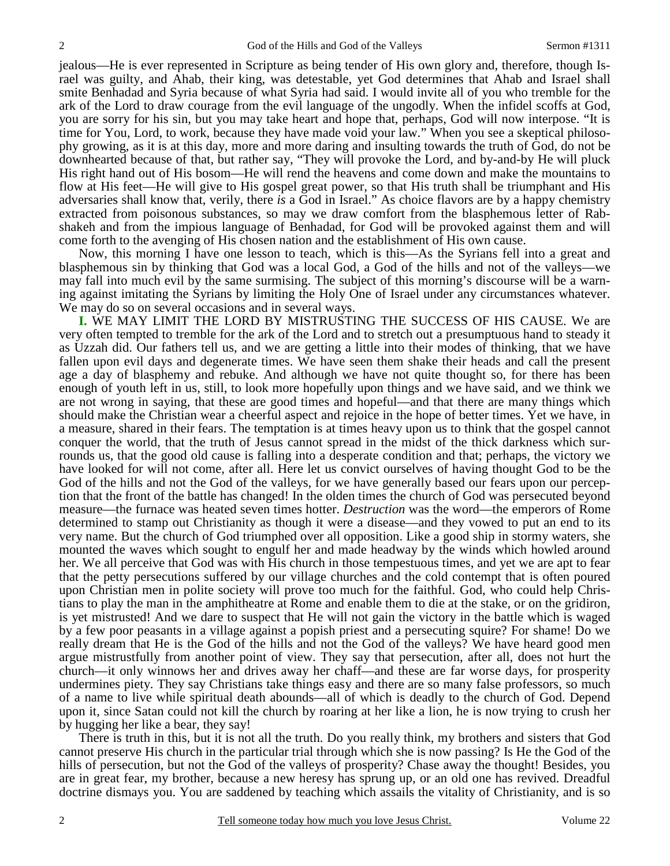jealous—He is ever represented in Scripture as being tender of His own glory and, therefore, though Israel was guilty, and Ahab, their king, was detestable, yet God determines that Ahab and Israel shall smite Benhadad and Syria because of what Syria had said. I would invite all of you who tremble for the ark of the Lord to draw courage from the evil language of the ungodly. When the infidel scoffs at God, you are sorry for his sin, but you may take heart and hope that, perhaps, God will now interpose. "It is time for You, Lord, to work, because they have made void your law." When you see a skeptical philosophy growing, as it is at this day, more and more daring and insulting towards the truth of God, do not be downhearted because of that, but rather say, "They will provoke the Lord, and by-and-by He will pluck His right hand out of His bosom—He will rend the heavens and come down and make the mountains to flow at His feet—He will give to His gospel great power, so that His truth shall be triumphant and His adversaries shall know that, verily, there *is* a God in Israel." As choice flavors are by a happy chemistry extracted from poisonous substances, so may we draw comfort from the blasphemous letter of Rabshakeh and from the impious language of Benhadad, for God will be provoked against them and will come forth to the avenging of His chosen nation and the establishment of His own cause.

 Now, this morning I have one lesson to teach, which is this—As the Syrians fell into a great and blasphemous sin by thinking that God was a local God, a God of the hills and not of the valleys—we may fall into much evil by the same surmising. The subject of this morning's discourse will be a warning against imitating the Syrians by limiting the Holy One of Israel under any circumstances whatever. We may do so on several occasions and in several ways.

**I.** WE MAY LIMIT THE LORD BY MISTRUSTING THE SUCCESS OF HIS CAUSE. We are very often tempted to tremble for the ark of the Lord and to stretch out a presumptuous hand to steady it as Uzzah did. Our fathers tell us, and we are getting a little into their modes of thinking, that we have fallen upon evil days and degenerate times. We have seen them shake their heads and call the present age a day of blasphemy and rebuke. And although we have not quite thought so, for there has been enough of youth left in us, still, to look more hopefully upon things and we have said, and we think we are not wrong in saying, that these are good times and hopeful—and that there are many things which should make the Christian wear a cheerful aspect and rejoice in the hope of better times. Yet we have, in a measure, shared in their fears. The temptation is at times heavy upon us to think that the gospel cannot conquer the world, that the truth of Jesus cannot spread in the midst of the thick darkness which surrounds us, that the good old cause is falling into a desperate condition and that; perhaps, the victory we have looked for will not come, after all. Here let us convict ourselves of having thought God to be the God of the hills and not the God of the valleys, for we have generally based our fears upon our perception that the front of the battle has changed! In the olden times the church of God was persecuted beyond measure—the furnace was heated seven times hotter. *Destruction* was the word—the emperors of Rome determined to stamp out Christianity as though it were a disease—and they vowed to put an end to its very name. But the church of God triumphed over all opposition. Like a good ship in stormy waters, she mounted the waves which sought to engulf her and made headway by the winds which howled around her. We all perceive that God was with His church in those tempestuous times, and yet we are apt to fear that the petty persecutions suffered by our village churches and the cold contempt that is often poured upon Christian men in polite society will prove too much for the faithful. God, who could help Christians to play the man in the amphitheatre at Rome and enable them to die at the stake, or on the gridiron, is yet mistrusted! And we dare to suspect that He will not gain the victory in the battle which is waged by a few poor peasants in a village against a popish priest and a persecuting squire? For shame! Do we really dream that He is the God of the hills and not the God of the valleys? We have heard good men argue mistrustfully from another point of view. They say that persecution, after all, does not hurt the church—it only winnows her and drives away her chaff—and these are far worse days, for prosperity undermines piety. They say Christians take things easy and there are so many false professors, so much of a name to live while spiritual death abounds—all of which is deadly to the church of God. Depend upon it, since Satan could not kill the church by roaring at her like a lion, he is now trying to crush her by hugging her like a bear, they say!

 There is truth in this, but it is not all the truth. Do you really think, my brothers and sisters that God cannot preserve His church in the particular trial through which she is now passing? Is He the God of the hills of persecution, but not the God of the valleys of prosperity? Chase away the thought! Besides, you are in great fear, my brother, because a new heresy has sprung up, or an old one has revived. Dreadful doctrine dismays you. You are saddened by teaching which assails the vitality of Christianity, and is so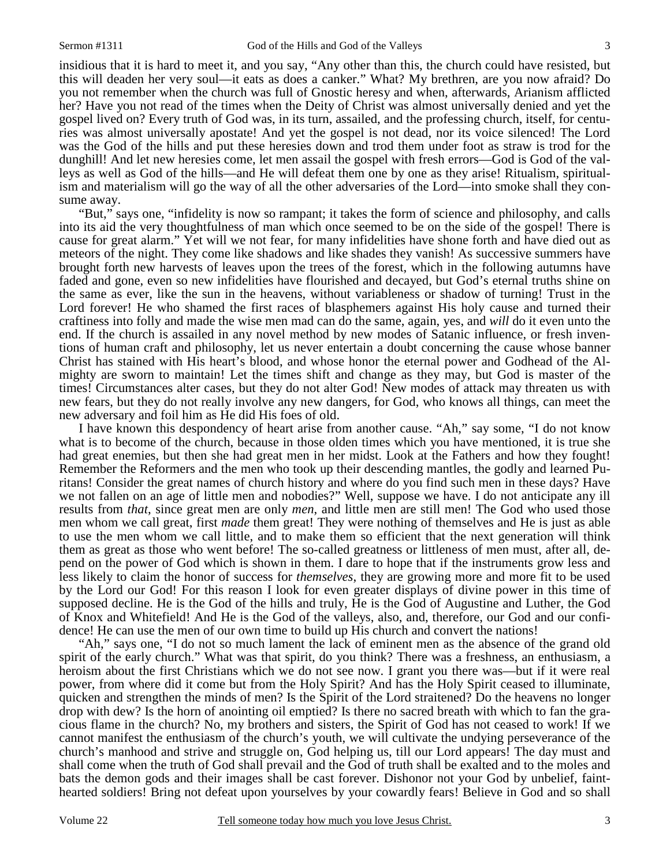insidious that it is hard to meet it, and you say, "Any other than this, the church could have resisted, but this will deaden her very soul—it eats as does a canker." What? My brethren, are you now afraid? Do you not remember when the church was full of Gnostic heresy and when, afterwards, Arianism afflicted her? Have you not read of the times when the Deity of Christ was almost universally denied and yet the gospel lived on? Every truth of God was, in its turn, assailed, and the professing church, itself, for centuries was almost universally apostate! And yet the gospel is not dead, nor its voice silenced! The Lord was the God of the hills and put these heresies down and trod them under foot as straw is trod for the dunghill! And let new heresies come, let men assail the gospel with fresh errors—God is God of the valleys as well as God of the hills—and He will defeat them one by one as they arise! Ritualism, spiritualism and materialism will go the way of all the other adversaries of the Lord—into smoke shall they consume away.

 "But," says one, "infidelity is now so rampant; it takes the form of science and philosophy, and calls into its aid the very thoughtfulness of man which once seemed to be on the side of the gospel! There is cause for great alarm." Yet will we not fear, for many infidelities have shone forth and have died out as meteors of the night. They come like shadows and like shades they vanish! As successive summers have brought forth new harvests of leaves upon the trees of the forest, which in the following autumns have faded and gone, even so new infidelities have flourished and decayed, but God's eternal truths shine on the same as ever, like the sun in the heavens, without variableness or shadow of turning! Trust in the Lord forever! He who shamed the first races of blasphemers against His holy cause and turned their craftiness into folly and made the wise men mad can do the same, again, yes, and *will* do it even unto the end. If the church is assailed in any novel method by new modes of Satanic influence, or fresh inventions of human craft and philosophy, let us never entertain a doubt concerning the cause whose banner Christ has stained with His heart's blood, and whose honor the eternal power and Godhead of the Almighty are sworn to maintain! Let the times shift and change as they may, but God is master of the times! Circumstances alter cases, but they do not alter God! New modes of attack may threaten us with new fears, but they do not really involve any new dangers, for God, who knows all things, can meet the new adversary and foil him as He did His foes of old.

 I have known this despondency of heart arise from another cause. "Ah," say some, "I do not know what is to become of the church, because in those olden times which you have mentioned, it is true she had great enemies, but then she had great men in her midst. Look at the Fathers and how they fought! Remember the Reformers and the men who took up their descending mantles, the godly and learned Puritans! Consider the great names of church history and where do you find such men in these days? Have we not fallen on an age of little men and nobodies?" Well, suppose we have. I do not anticipate any ill results from *that*, since great men are only *men*, and little men are still men! The God who used those men whom we call great, first *made* them great! They were nothing of themselves and He is just as able to use the men whom we call little, and to make them so efficient that the next generation will think them as great as those who went before! The so-called greatness or littleness of men must, after all, depend on the power of God which is shown in them. I dare to hope that if the instruments grow less and less likely to claim the honor of success for *themselves*, they are growing more and more fit to be used by the Lord our God! For this reason I look for even greater displays of divine power in this time of supposed decline. He is the God of the hills and truly, He is the God of Augustine and Luther, the God of Knox and Whitefield! And He is the God of the valleys, also, and, therefore, our God and our confidence! He can use the men of our own time to build up His church and convert the nations!

 "Ah," says one, "I do not so much lament the lack of eminent men as the absence of the grand old spirit of the early church." What was that spirit, do you think? There was a freshness, an enthusiasm, a heroism about the first Christians which we do not see now. I grant you there was—but if it were real power, from where did it come but from the Holy Spirit? And has the Holy Spirit ceased to illuminate, quicken and strengthen the minds of men? Is the Spirit of the Lord straitened? Do the heavens no longer drop with dew? Is the horn of anointing oil emptied? Is there no sacred breath with which to fan the gracious flame in the church? No, my brothers and sisters, the Spirit of God has not ceased to work! If we cannot manifest the enthusiasm of the church's youth, we will cultivate the undying perseverance of the church's manhood and strive and struggle on, God helping us, till our Lord appears! The day must and shall come when the truth of God shall prevail and the God of truth shall be exalted and to the moles and bats the demon gods and their images shall be cast forever. Dishonor not your God by unbelief, fainthearted soldiers! Bring not defeat upon yourselves by your cowardly fears! Believe in God and so shall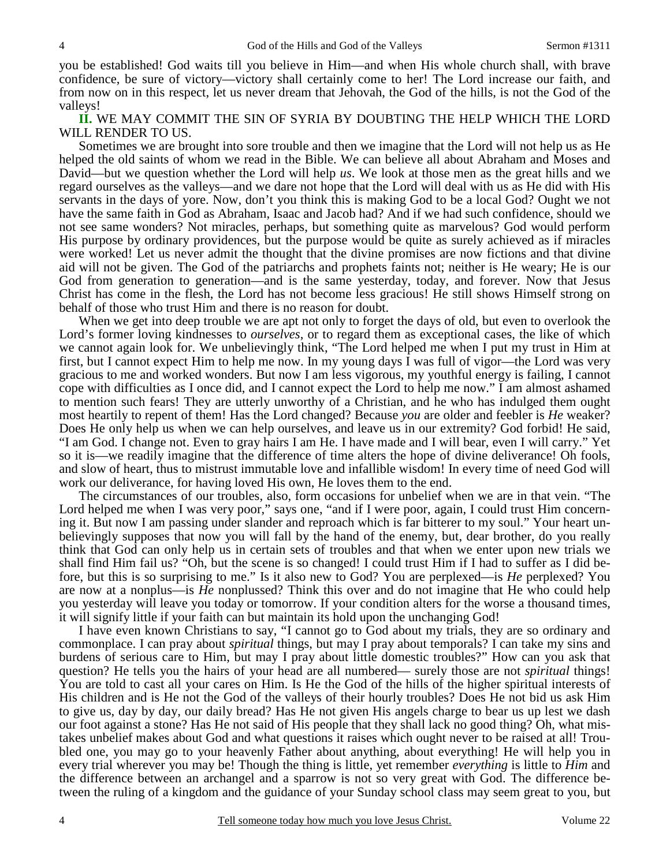you be established! God waits till you believe in Him—and when His whole church shall, with brave confidence, be sure of victory—victory shall certainly come to her! The Lord increase our faith, and from now on in this respect, let us never dream that Jehovah, the God of the hills, is not the God of the valleys!

**II.** WE MAY COMMIT THE SIN OF SYRIA BY DOUBTING THE HELP WHICH THE LORD WILL RENDER TO US.

 Sometimes we are brought into sore trouble and then we imagine that the Lord will not help us as He helped the old saints of whom we read in the Bible. We can believe all about Abraham and Moses and David—but we question whether the Lord will help *us*. We look at those men as the great hills and we regard ourselves as the valleys—and we dare not hope that the Lord will deal with us as He did with His servants in the days of yore. Now, don't you think this is making God to be a local God? Ought we not have the same faith in God as Abraham, Isaac and Jacob had? And if we had such confidence, should we not see same wonders? Not miracles, perhaps, but something quite as marvelous? God would perform His purpose by ordinary providences, but the purpose would be quite as surely achieved as if miracles were worked! Let us never admit the thought that the divine promises are now fictions and that divine aid will not be given. The God of the patriarchs and prophets faints not; neither is He weary; He is our God from generation to generation—and is the same yesterday, today, and forever. Now that Jesus Christ has come in the flesh, the Lord has not become less gracious! He still shows Himself strong on behalf of those who trust Him and there is no reason for doubt.

 When we get into deep trouble we are apt not only to forget the days of old, but even to overlook the Lord's former loving kindnesses to *ourselves*, or to regard them as exceptional cases, the like of which we cannot again look for. We unbelievingly think, "The Lord helped me when I put my trust in Him at first, but I cannot expect Him to help me now. In my young days I was full of vigor—the Lord was very gracious to me and worked wonders. But now I am less vigorous, my youthful energy is failing, I cannot cope with difficulties as I once did, and I cannot expect the Lord to help me now." I am almost ashamed to mention such fears! They are utterly unworthy of a Christian, and he who has indulged them ought most heartily to repent of them! Has the Lord changed? Because *you* are older and feebler is *He* weaker? Does He only help us when we can help ourselves, and leave us in our extremity? God forbid! He said, "I am God. I change not. Even to gray hairs I am He. I have made and I will bear, even I will carry." Yet so it is—we readily imagine that the difference of time alters the hope of divine deliverance! Oh fools, and slow of heart, thus to mistrust immutable love and infallible wisdom! In every time of need God will work our deliverance, for having loved His own, He loves them to the end.

 The circumstances of our troubles, also, form occasions for unbelief when we are in that vein. "The Lord helped me when I was very poor," says one, "and if I were poor, again, I could trust Him concerning it. But now I am passing under slander and reproach which is far bitterer to my soul." Your heart unbelievingly supposes that now you will fall by the hand of the enemy, but, dear brother, do you really think that God can only help us in certain sets of troubles and that when we enter upon new trials we shall find Him fail us? "Oh, but the scene is so changed! I could trust Him if I had to suffer as I did before, but this is so surprising to me." Is it also new to God? You are perplexed—is *He* perplexed? You are now at a nonplus—is *He* nonplussed? Think this over and do not imagine that He who could help you yesterday will leave you today or tomorrow. If your condition alters for the worse a thousand times, it will signify little if your faith can but maintain its hold upon the unchanging God!

 I have even known Christians to say, "I cannot go to God about my trials, they are so ordinary and commonplace. I can pray about *spiritual* things, but may I pray about temporals? I can take my sins and burdens of serious care to Him, but may I pray about little domestic troubles?" How can you ask that question? He tells you the hairs of your head are all numbered— surely those are not *spiritual* things! You are told to cast all your cares on Him. Is He the God of the hills of the higher spiritual interests of His children and is He not the God of the valleys of their hourly troubles? Does He not bid us ask Him to give us, day by day, our daily bread? Has He not given His angels charge to bear us up lest we dash our foot against a stone? Has He not said of His people that they shall lack no good thing? Oh, what mistakes unbelief makes about God and what questions it raises which ought never to be raised at all! Troubled one, you may go to your heavenly Father about anything, about everything! He will help you in every trial wherever you may be! Though the thing is little, yet remember *everything* is little to *Him* and the difference between an archangel and a sparrow is not so very great with God. The difference between the ruling of a kingdom and the guidance of your Sunday school class may seem great to you, but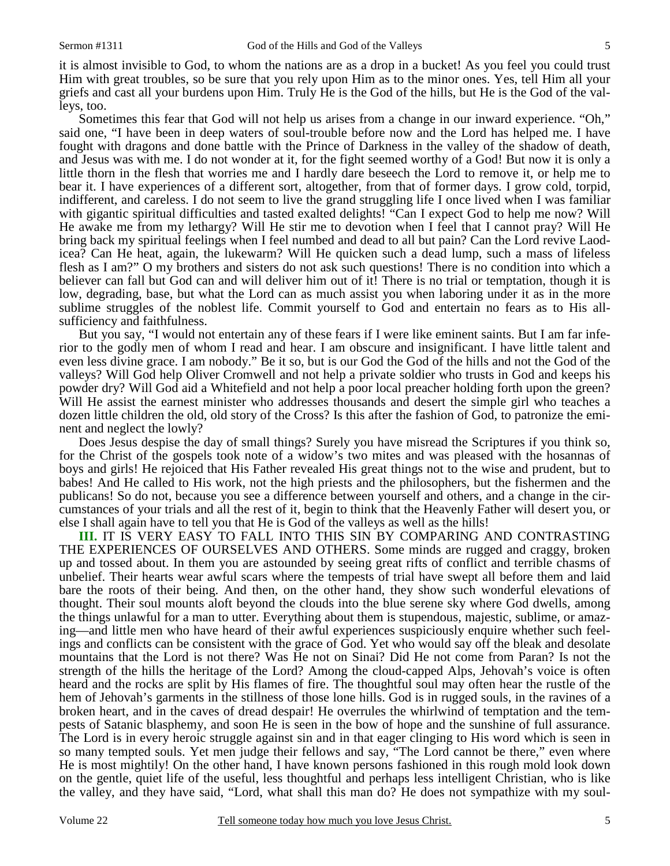it is almost invisible to God, to whom the nations are as a drop in a bucket! As you feel you could trust Him with great troubles, so be sure that you rely upon Him as to the minor ones. Yes, tell Him all your griefs and cast all your burdens upon Him. Truly He is the God of the hills, but He is the God of the valleys, too.

 Sometimes this fear that God will not help us arises from a change in our inward experience. "Oh," said one, "I have been in deep waters of soul-trouble before now and the Lord has helped me. I have fought with dragons and done battle with the Prince of Darkness in the valley of the shadow of death, and Jesus was with me. I do not wonder at it, for the fight seemed worthy of a God! But now it is only a little thorn in the flesh that worries me and I hardly dare beseech the Lord to remove it, or help me to bear it. I have experiences of a different sort, altogether, from that of former days. I grow cold, torpid, indifferent, and careless. I do not seem to live the grand struggling life I once lived when I was familiar with gigantic spiritual difficulties and tasted exalted delights! "Can I expect God to help me now? Will He awake me from my lethargy? Will He stir me to devotion when I feel that I cannot pray? Will He bring back my spiritual feelings when I feel numbed and dead to all but pain? Can the Lord revive Laodicea? Can He heat, again, the lukewarm? Will He quicken such a dead lump, such a mass of lifeless flesh as I am?" O my brothers and sisters do not ask such questions! There is no condition into which a believer can fall but God can and will deliver him out of it! There is no trial or temptation, though it is low, degrading, base, but what the Lord can as much assist you when laboring under it as in the more sublime struggles of the noblest life. Commit yourself to God and entertain no fears as to His allsufficiency and faithfulness.

 But you say, "I would not entertain any of these fears if I were like eminent saints. But I am far inferior to the godly men of whom I read and hear. I am obscure and insignificant. I have little talent and even less divine grace. I am nobody." Be it so, but is our God the God of the hills and not the God of the valleys? Will God help Oliver Cromwell and not help a private soldier who trusts in God and keeps his powder dry? Will God aid a Whitefield and not help a poor local preacher holding forth upon the green? Will He assist the earnest minister who addresses thousands and desert the simple girl who teaches a dozen little children the old, old story of the Cross? Is this after the fashion of God, to patronize the eminent and neglect the lowly?

 Does Jesus despise the day of small things? Surely you have misread the Scriptures if you think so, for the Christ of the gospels took note of a widow's two mites and was pleased with the hosannas of boys and girls! He rejoiced that His Father revealed His great things not to the wise and prudent, but to babes! And He called to His work, not the high priests and the philosophers, but the fishermen and the publicans! So do not, because you see a difference between yourself and others, and a change in the circumstances of your trials and all the rest of it, begin to think that the Heavenly Father will desert you, or else I shall again have to tell you that He is God of the valleys as well as the hills!

**III.** IT IS VERY EASY TO FALL INTO THIS SIN BY COMPARING AND CONTRASTING THE EXPERIENCES OF OURSELVES AND OTHERS. Some minds are rugged and craggy, broken up and tossed about. In them you are astounded by seeing great rifts of conflict and terrible chasms of unbelief. Their hearts wear awful scars where the tempests of trial have swept all before them and laid bare the roots of their being. And then, on the other hand, they show such wonderful elevations of thought. Their soul mounts aloft beyond the clouds into the blue serene sky where God dwells, among the things unlawful for a man to utter. Everything about them is stupendous, majestic, sublime, or amazing—and little men who have heard of their awful experiences suspiciously enquire whether such feelings and conflicts can be consistent with the grace of God. Yet who would say off the bleak and desolate mountains that the Lord is not there? Was He not on Sinai? Did He not come from Paran? Is not the strength of the hills the heritage of the Lord? Among the cloud-capped Alps, Jehovah's voice is often heard and the rocks are split by His flames of fire. The thoughtful soul may often hear the rustle of the hem of Jehovah's garments in the stillness of those lone hills. God is in rugged souls, in the ravines of a broken heart, and in the caves of dread despair! He overrules the whirlwind of temptation and the tempests of Satanic blasphemy, and soon He is seen in the bow of hope and the sunshine of full assurance. The Lord is in every heroic struggle against sin and in that eager clinging to His word which is seen in so many tempted souls. Yet men judge their fellows and say, "The Lord cannot be there," even where He is most mightily! On the other hand, I have known persons fashioned in this rough mold look down on the gentle, quiet life of the useful, less thoughtful and perhaps less intelligent Christian, who is like the valley, and they have said, "Lord, what shall this man do? He does not sympathize with my soul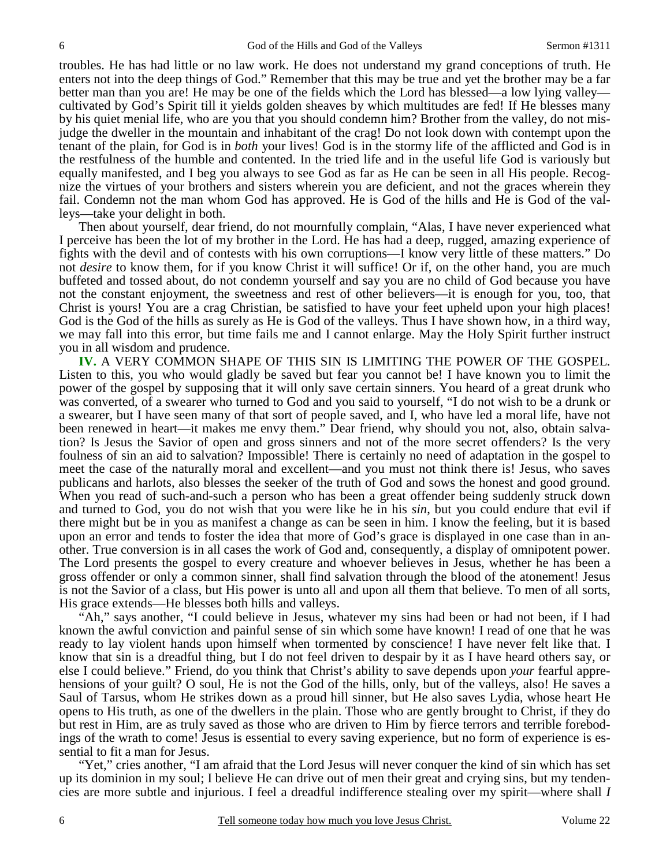troubles. He has had little or no law work. He does not understand my grand conceptions of truth. He enters not into the deep things of God." Remember that this may be true and yet the brother may be a far better man than you are! He may be one of the fields which the Lord has blessed—a low lying valley cultivated by God's Spirit till it yields golden sheaves by which multitudes are fed! If He blesses many by his quiet menial life, who are you that you should condemn him? Brother from the valley, do not misjudge the dweller in the mountain and inhabitant of the crag! Do not look down with contempt upon the tenant of the plain, for God is in *both* your lives! God is in the stormy life of the afflicted and God is in the restfulness of the humble and contented. In the tried life and in the useful life God is variously but equally manifested, and I beg you always to see God as far as He can be seen in all His people. Recognize the virtues of your brothers and sisters wherein you are deficient, and not the graces wherein they fail. Condemn not the man whom God has approved. He is God of the hills and He is God of the valleys—take your delight in both.

 Then about yourself, dear friend, do not mournfully complain, "Alas, I have never experienced what I perceive has been the lot of my brother in the Lord. He has had a deep, rugged, amazing experience of fights with the devil and of contests with his own corruptions—I know very little of these matters." Do not *desire* to know them, for if you know Christ it will suffice! Or if, on the other hand, you are much buffeted and tossed about, do not condemn yourself and say you are no child of God because you have not the constant enjoyment, the sweetness and rest of other believers—it is enough for you, too, that Christ is yours! You are a crag Christian, be satisfied to have your feet upheld upon your high places! God is the God of the hills as surely as He is God of the valleys. Thus I have shown how, in a third way, we may fall into this error, but time fails me and I cannot enlarge. May the Holy Spirit further instruct you in all wisdom and prudence.

**IV.** A VERY COMMON SHAPE OF THIS SIN IS LIMITING THE POWER OF THE GOSPEL. Listen to this, you who would gladly be saved but fear you cannot be! I have known you to limit the power of the gospel by supposing that it will only save certain sinners. You heard of a great drunk who was converted, of a swearer who turned to God and you said to yourself, "I do not wish to be a drunk or a swearer, but I have seen many of that sort of people saved, and I, who have led a moral life, have not been renewed in heart—it makes me envy them." Dear friend, why should you not, also, obtain salvation? Is Jesus the Savior of open and gross sinners and not of the more secret offenders? Is the very foulness of sin an aid to salvation? Impossible! There is certainly no need of adaptation in the gospel to meet the case of the naturally moral and excellent—and you must not think there is! Jesus, who saves publicans and harlots, also blesses the seeker of the truth of God and sows the honest and good ground. When you read of such-and-such a person who has been a great offender being suddenly struck down and turned to God, you do not wish that you were like he in his *sin*, but you could endure that evil if there might but be in you as manifest a change as can be seen in him. I know the feeling, but it is based upon an error and tends to foster the idea that more of God's grace is displayed in one case than in another. True conversion is in all cases the work of God and, consequently, a display of omnipotent power. The Lord presents the gospel to every creature and whoever believes in Jesus, whether he has been a gross offender or only a common sinner, shall find salvation through the blood of the atonement! Jesus is not the Savior of a class, but His power is unto all and upon all them that believe. To men of all sorts, His grace extends—He blesses both hills and valleys.

 "Ah," says another, "I could believe in Jesus, whatever my sins had been or had not been, if I had known the awful conviction and painful sense of sin which some have known! I read of one that he was ready to lay violent hands upon himself when tormented by conscience! I have never felt like that. I know that sin is a dreadful thing, but I do not feel driven to despair by it as I have heard others say, or else I could believe." Friend, do you think that Christ's ability to save depends upon *your* fearful apprehensions of your guilt? O soul, He is not the God of the hills, only, but of the valleys, also! He saves a Saul of Tarsus, whom He strikes down as a proud hill sinner, but He also saves Lydia, whose heart He opens to His truth, as one of the dwellers in the plain. Those who are gently brought to Christ, if they do but rest in Him, are as truly saved as those who are driven to Him by fierce terrors and terrible forebodings of the wrath to come! Jesus is essential to every saving experience, but no form of experience is essential to fit a man for Jesus.

 "Yet," cries another, "I am afraid that the Lord Jesus will never conquer the kind of sin which has set up its dominion in my soul; I believe He can drive out of men their great and crying sins, but my tendencies are more subtle and injurious. I feel a dreadful indifference stealing over my spirit—where shall *I*

6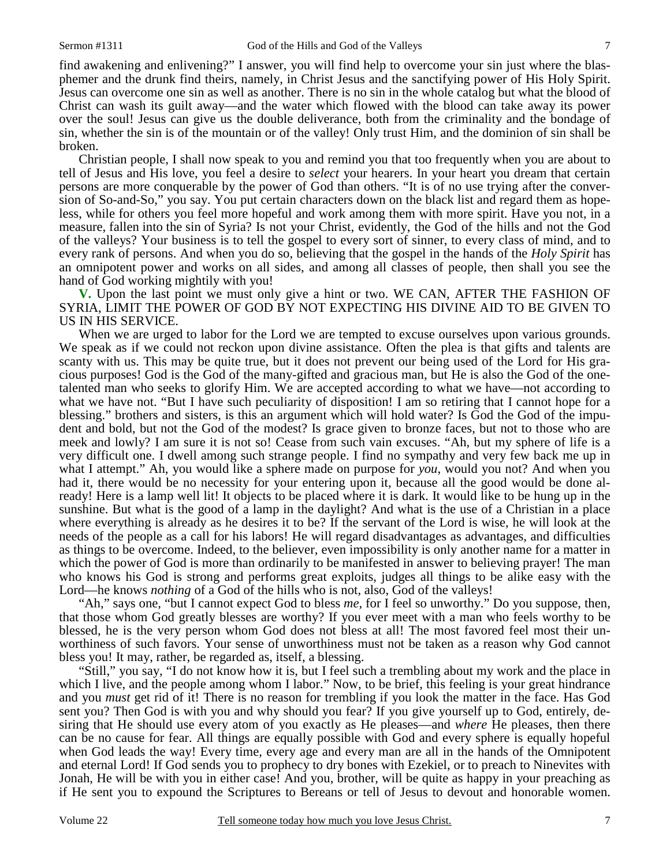find awakening and enlivening?" I answer, you will find help to overcome your sin just where the blasphemer and the drunk find theirs, namely, in Christ Jesus and the sanctifying power of His Holy Spirit. Jesus can overcome one sin as well as another. There is no sin in the whole catalog but what the blood of Christ can wash its guilt away—and the water which flowed with the blood can take away its power over the soul! Jesus can give us the double deliverance, both from the criminality and the bondage of sin, whether the sin is of the mountain or of the valley! Only trust Him, and the dominion of sin shall be broken.

 Christian people, I shall now speak to you and remind you that too frequently when you are about to tell of Jesus and His love, you feel a desire to *select* your hearers. In your heart you dream that certain persons are more conquerable by the power of God than others. "It is of no use trying after the conversion of So-and-So," you say. You put certain characters down on the black list and regard them as hopeless, while for others you feel more hopeful and work among them with more spirit. Have you not, in a measure, fallen into the sin of Syria? Is not your Christ, evidently, the God of the hills and not the God of the valleys? Your business is to tell the gospel to every sort of sinner, to every class of mind, and to every rank of persons. And when you do so, believing that the gospel in the hands of the *Holy Spirit* has an omnipotent power and works on all sides, and among all classes of people, then shall you see the hand of God working mightily with you!

**V.** Upon the last point we must only give a hint or two. WE CAN, AFTER THE FASHION OF SYRIA, LIMIT THE POWER OF GOD BY NOT EXPECTING HIS DIVINE AID TO BE GIVEN TO US IN HIS SERVICE.

When we are urged to labor for the Lord we are tempted to excuse ourselves upon various grounds. We speak as if we could not reckon upon divine assistance. Often the plea is that gifts and talents are scanty with us. This may be quite true, but it does not prevent our being used of the Lord for His gracious purposes! God is the God of the many-gifted and gracious man, but He is also the God of the onetalented man who seeks to glorify Him. We are accepted according to what we have—not according to what we have not. "But I have such peculiarity of disposition! I am so retiring that I cannot hope for a blessing." brothers and sisters, is this an argument which will hold water? Is God the God of the impudent and bold, but not the God of the modest? Is grace given to bronze faces, but not to those who are meek and lowly? I am sure it is not so! Cease from such vain excuses. "Ah, but my sphere of life is a very difficult one. I dwell among such strange people. I find no sympathy and very few back me up in what I attempt." Ah, you would like a sphere made on purpose for *you*, would you not? And when you had it, there would be no necessity for your entering upon it, because all the good would be done already! Here is a lamp well lit! It objects to be placed where it is dark. It would like to be hung up in the sunshine. But what is the good of a lamp in the daylight? And what is the use of a Christian in a place where everything is already as he desires it to be? If the servant of the Lord is wise, he will look at the needs of the people as a call for his labors! He will regard disadvantages as advantages, and difficulties as things to be overcome. Indeed, to the believer, even impossibility is only another name for a matter in which the power of God is more than ordinarily to be manifested in answer to believing prayer! The man who knows his God is strong and performs great exploits, judges all things to be alike easy with the Lord—he knows *nothing* of a God of the hills who is not, also, God of the valleys!

 "Ah," says one, "but I cannot expect God to bless *me*, for I feel so unworthy." Do you suppose, then, that those whom God greatly blesses are worthy? If you ever meet with a man who feels worthy to be blessed, he is the very person whom God does not bless at all! The most favored feel most their unworthiness of such favors. Your sense of unworthiness must not be taken as a reason why God cannot bless you! It may, rather, be regarded as, itself, a blessing.

 "Still," you say, "I do not know how it is, but I feel such a trembling about my work and the place in which I live, and the people among whom I labor." Now, to be brief, this feeling is your great hindrance and you *must* get rid of it! There is no reason for trembling if you look the matter in the face. Has God sent you? Then God is with you and why should you fear? If you give yourself up to God, entirely, desiring that He should use every atom of you exactly as He pleases—and *where* He pleases, then there can be no cause for fear. All things are equally possible with God and every sphere is equally hopeful when God leads the way! Every time, every age and every man are all in the hands of the Omnipotent and eternal Lord! If God sends you to prophecy to dry bones with Ezekiel, or to preach to Ninevites with Jonah, He will be with you in either case! And you, brother, will be quite as happy in your preaching as if He sent you to expound the Scriptures to Bereans or tell of Jesus to devout and honorable women.